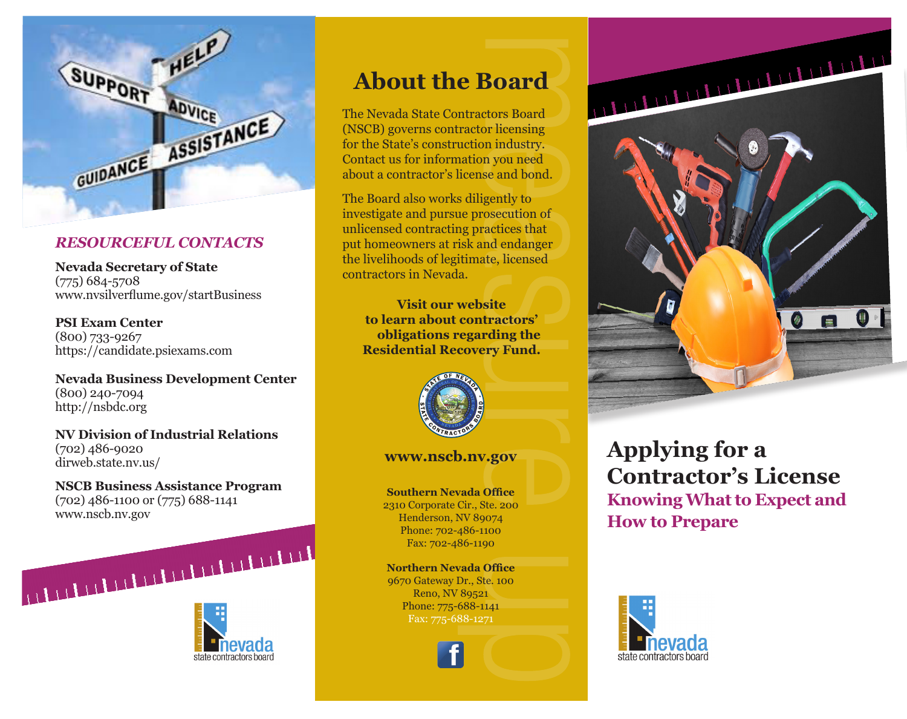

### *RESOURCEFUL CONTACTS*

**Nevada Secretary of State** (775) 684-5708 www.nvsilverflume.gov/startBusiness

**PSI Exam Center** (800) 733-9267 https://candidate.psiexams.com

**Nevada Business Development Center** (800) 240-7094 http://nsbdc.org

**NV Division of Industrial Relations** (702) 486-9020 dirweb.state.nv.us/

**NSCB Business Assistance Program** (702) 486-1100 or (775) 688-1141 www.nscb.nv.gov



# **About the Board**

The Nevada State Contractors Board (NSCB) governs contractor licensing for the State's construction industry. Contact us for information you need about a contractor's license and bond.

The Board also works diligently to investigate and pursue prosecution of unlicensed contracting practices that put homeowners at risk and endanger the livelihoods of legitimate, licensed contractors in Nevada.

**Visit our website to learn about contractors' obligations regarding the Residential Recovery Fund.**



#### **www.nscb.nv.gov**

**Southern Nevada Office** 2310 Corporate Cir., Ste. 200 Henderson, NV 89074 Phone: 702-486-1100 Fax: 702-486-1190

**Northern Nevada Office** 9670 Gateway Dr., Ste. 100 Reno, NV 89521 Phone: 775-688-1141 Fax: 775-688-1271



# **Applying for a Contractor's License Knowing What to Expect and How to Prepare**